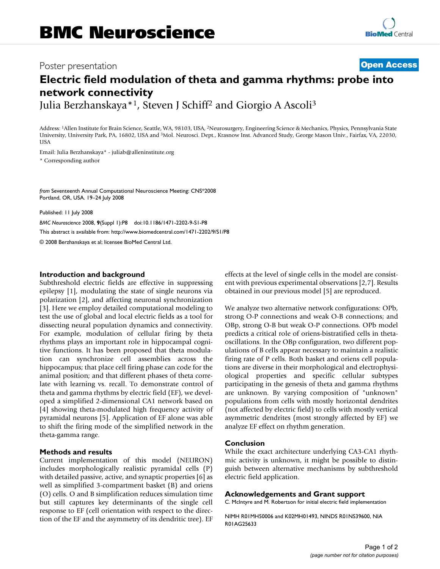## Poster presentation **Contract Contract Contract Contract Contract Contract Contract Contract Contract Contract Contract Contract Contract Contract Contract Contract Contract Contract Contract Contract Contract Contract Con**

# **Electric field modulation of theta and gamma rhythms: probe into network connectivity**

Julia Berzhanskaya\*1, Steven J Schiff2 and Giorgio A Ascoli3

Address: 1Allen Institute for Brain Science, Seattle, WA, 98103, USA, 2Neurosurgery, Engineering Science & Mechanics, Physics, Pennsylvania State University, University Park, PA, 16802, USA and 3Mol. Neurosci. Dept., Krasnow Inst. Advanced Study, George Mason Univ., Fairfax, VA, 22030, **USA** 

Email: Julia Berzhanskaya\* - juliab@alleninstitute.org \* Corresponding author

*from* Seventeenth Annual Computational Neuroscience Meeting: CNS\*2008 Portland, OR, USA. 19–24 July 2008

Published: 11 July 2008

*BMC Neuroscience* 2008, **9**(Suppl 1):P8 doi:10.1186/1471-2202-9-S1-P8 [This abstract is available from: http://www.biomedcentral.com/1471-2202/9/S1/P8](http://www.biomedcentral.com/1471-2202/9/S1/P8) © 2008 Berzhanskaya et al; licensee BioMed Central Ltd.

#### **Introduction and background**

Subthreshold electric fields are effective in suppressing epilepsy [1], modulating the state of single neurons via polarization [2], and affecting neuronal synchronization [3]. Here we employ detailed computational modeling to test the use of global and local electric fields as a tool for dissecting neural population dynamics and connectivity. For example, modulation of cellular firing by theta rhythms plays an important role in hippocampal cognitive functions. It has been proposed that theta modulation can synchronize cell assemblies across the hippocampus; that place cell firing phase can code for the animal position; and that different phases of theta correlate with learning vs. recall. To demonstrate control of theta and gamma rhythms by electric field (EF), we developed a simplified 2-dimensional CA1 network based on [4] showing theta-modulated high frequency activity of pyramidal neurons [5]. Application of EF alone was able to shift the firing mode of the simplified network in the theta-gamma range.

### **Methods and results**

Current implementation of this model (NEURON) includes morphologically realistic pyramidal cells (P) with detailed passive, active, and synaptic properties [6] as well as simplified 3-compartment basket (B) and oriens (O) cells. O and B simplification reduces simulation time but still captures key determinants of the single cell response to EF (cell orientation with respect to the direction of the EF and the asymmetry of its dendritic tree). EF effects at the level of single cells in the model are consistent with previous experimental observations [2,7]. Results obtained in our previous model [5] are reproduced.

We analyze two alternative network configurations: OPb, strong O-P connections and weak O-B connections; and OBp, strong O-B but weak O-P connections. OPb model predicts a critical role of oriens-bistratified cells in thetaoscillations. In the OBp configuration, two different populations of B cells appear necessary to maintain a realistic firing rate of P cells. Both basket and oriens cell populations are diverse in their morphological and electrophysiological properties and specific cellular subtypes participating in the genesis of theta and gamma rhythms are unknown. By varying composition of "unknown" populations from cells with mostly horizontal dendrites (not affected by electric field) to cells with mostly vertical asymmetric dendrites (most strongly affected by EF) we analyze EF effect on rhythm generation.

### **Conclusion**

While the exact architecture underlying CA3-CA1 rhythmic activity is unknown, it might be possible to distinguish between alternative mechanisms by subthreshold electric field application.

#### **Acknowledgements and Grant support**

C. McIntyre and M. Robertson for initial electric field implementation

NIMH R01MH50006 and K02MH01493, NINDS R01NS39600, NIA R01AG25633